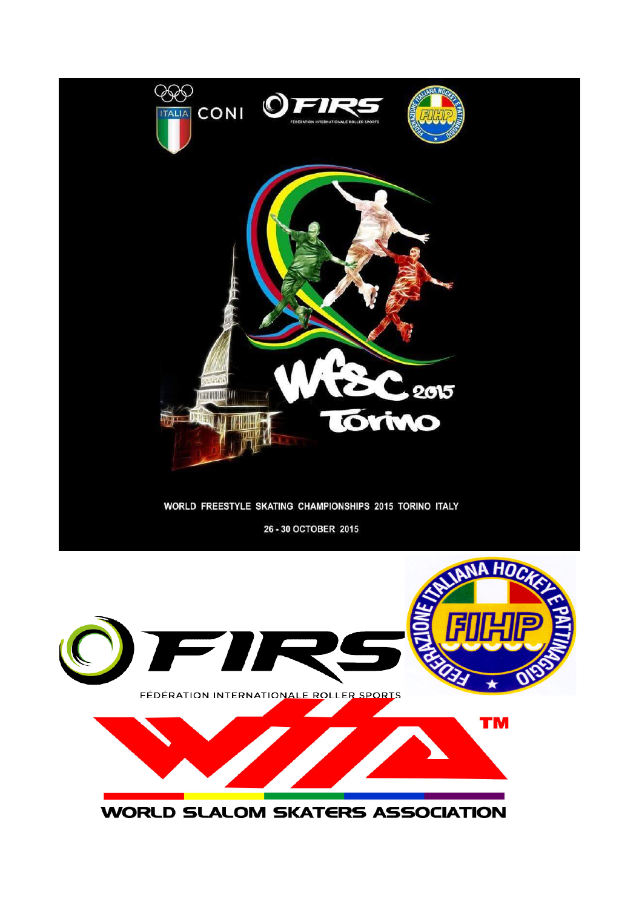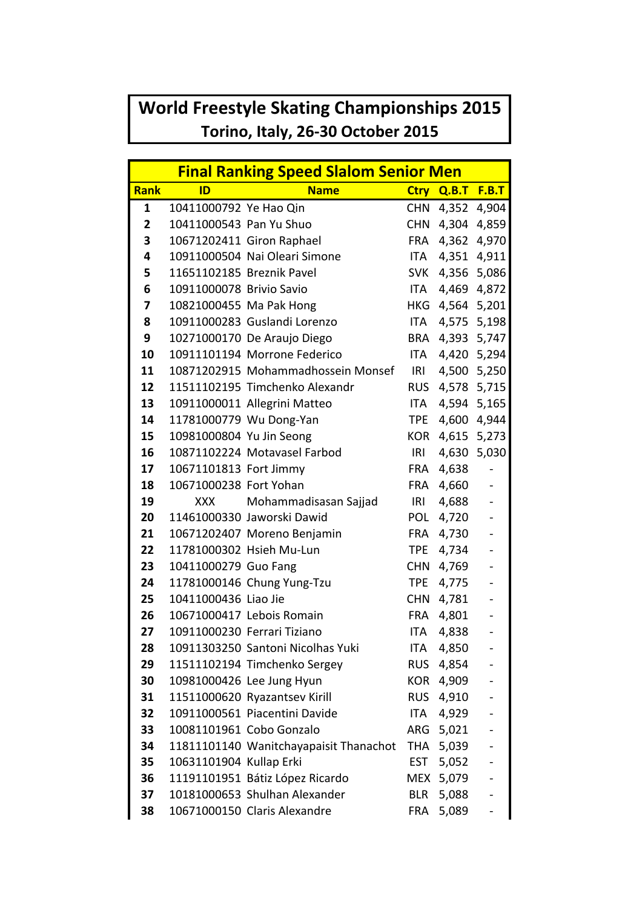## **World Freestyle Skating Championships 2015 Torino, Italy, 26-30 October 2015**

|             | <b>Final Ranking Speed Slalom Senior Men</b> |                                        |            |                  |                          |  |
|-------------|----------------------------------------------|----------------------------------------|------------|------------------|--------------------------|--|
| <b>Rank</b> | ID                                           | <b>Name</b>                            |            | Ctry Q.B.T F.B.T |                          |  |
| 1           | 10411000792 Ye Hao Qin                       |                                        | <b>CHN</b> | 4,352            | 4,904                    |  |
| 2           | 10411000543 Pan Yu Shuo                      | <b>CHN</b>                             |            | 4,304            | 4,859                    |  |
| 3           |                                              | 10671202411 Giron Raphael              | <b>FRA</b> | 4,362            | 4,970                    |  |
| 4           |                                              | 10911000504 Nai Oleari Simone          | ITA.       | 4,351            | 4,911                    |  |
| 5           | 11651102185 Breznik Pavel                    |                                        | <b>SVK</b> | 4,356            | 5,086                    |  |
| 6           | 10911000078 Brivio Savio                     |                                        | ITA        | 4,469            | 4,872                    |  |
| 7           | 10821000455 Ma Pak Hong                      |                                        | <b>HKG</b> | 4,564            | 5,201                    |  |
| 8           |                                              | 10911000283 Guslandi Lorenzo           | ITA        | 4,575            | 5,198                    |  |
| 9           |                                              | 10271000170 De Araujo Diego            | BRA        |                  | 4,393 5,747              |  |
| 10          |                                              | 10911101194 Morrone Federico           | ITA        | 4,420            | 5,294                    |  |
| 11          |                                              | 10871202915 Mohammadhossein Monsef     | IRI        |                  | 4,500 5,250              |  |
| 12          |                                              | 11511102195 Timchenko Alexandr         | <b>RUS</b> | 4,578            | 5,715                    |  |
| 13          |                                              | 10911000011 Allegrini Matteo           | ITA        |                  | 4,594 5,165              |  |
| 14          |                                              | 11781000779 Wu Dong-Yan                | <b>TPE</b> | 4,600            | 4,944                    |  |
| 15          | 10981000804 Yu Jin Seong                     |                                        | <b>KOR</b> | 4,615 5,273      |                          |  |
| 16          |                                              | 10871102224 Motavasel Farbod           | IRI        | 4,630            | 5,030                    |  |
| 17          | 10671101813 Fort Jimmy                       |                                        | <b>FRA</b> | 4,638            |                          |  |
| 18          | 10671000238 Fort Yohan                       |                                        | <b>FRA</b> | 4,660            |                          |  |
| 19          | XXX                                          | Mohammadisasan Sajjad                  | IRI        | 4,688            |                          |  |
| 20          |                                              | 11461000330 Jaworski Dawid             | <b>POL</b> | 4,720            |                          |  |
| 21          |                                              | 10671202407 Moreno Benjamin            | <b>FRA</b> | 4,730            |                          |  |
| 22          |                                              | 11781000302 Hsieh Mu-Lun               | <b>TPE</b> | 4,734            |                          |  |
| 23          | 10411000279 Guo Fang                         |                                        | <b>CHN</b> | 4,769            |                          |  |
| 24          |                                              | 11781000146 Chung Yung-Tzu             | <b>TPE</b> | 4,775            |                          |  |
| 25          | 10411000436 Liao Jie                         |                                        | <b>CHN</b> | 4,781            |                          |  |
| 26          |                                              | 10671000417 Lebois Romain              | <b>FRA</b> | 4,801            | $\blacksquare$           |  |
| 27          |                                              | 10911000230 Ferrari Tiziano            | ITA        | 4,838            |                          |  |
| 28          |                                              | 10911303250 Santoni Nicolhas Yuki      | <b>ITA</b> | 4,850            |                          |  |
| 29          |                                              | 11511102194 Timchenko Sergey           | <b>RUS</b> | 4,854            |                          |  |
| 30          |                                              | 10981000426 Lee Jung Hyun              | <b>KOR</b> | 4,909            |                          |  |
| 31          |                                              | 11511000620 Ryazantsev Kirill          | <b>RUS</b> | 4,910            |                          |  |
| 32          |                                              | 10911000561 Piacentini Davide          | ITA        | 4,929            |                          |  |
| 33          |                                              | 10081101961 Cobo Gonzalo               | ARG        | 5,021            | $\overline{\phantom{a}}$ |  |
| 34          |                                              | 11811101140 Wanitchayapaisit Thanachot |            | THA 5,039        |                          |  |
| 35          | 10631101904 Kullap Erki                      |                                        | <b>EST</b> | 5,052            |                          |  |
| 36          |                                              | 11191101951 Bátiz López Ricardo        |            | MEX 5,079        |                          |  |
| 37          |                                              | 10181000653 Shulhan Alexander          | <b>BLR</b> | 5,088            |                          |  |
| 38          |                                              | 10671000150 Claris Alexandre           | <b>FRA</b> | 5,089            |                          |  |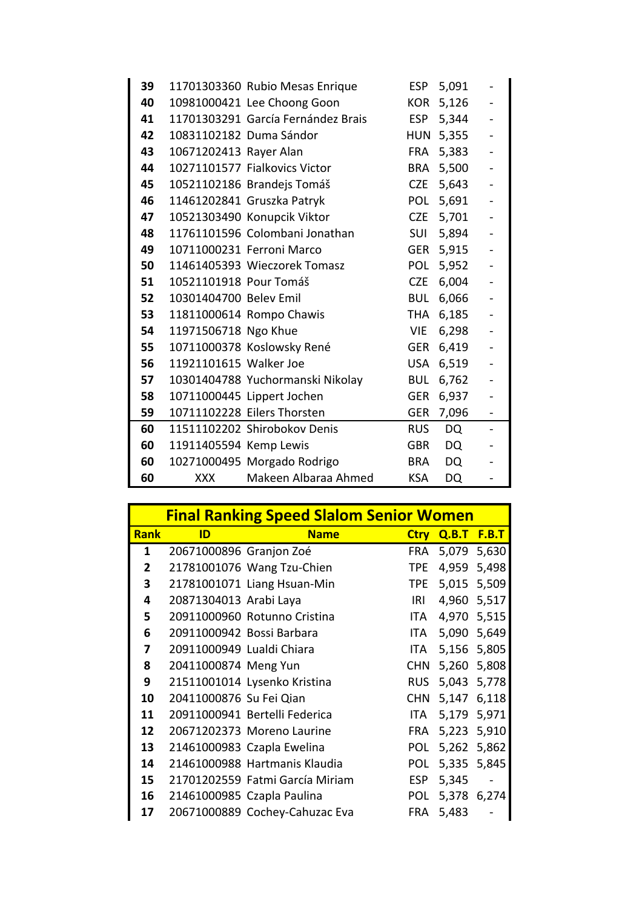| 39 |                        | 11701303360 Rubio Mesas Enrique    | <b>ESP</b> | 5,091     | $\overline{\phantom{0}}$ |
|----|------------------------|------------------------------------|------------|-----------|--------------------------|
| 40 |                        | 10981000421 Lee Choong Goon        | <b>KOR</b> | 5,126     |                          |
| 41 |                        | 11701303291 García Fernández Brais | <b>ESP</b> | 5,344     |                          |
| 42 |                        | 10831102182 Duma Sándor            | <b>HUN</b> | 5,355     | $\blacksquare$           |
| 43 | 10671202413 Rayer Alan |                                    | FRA        | 5,383     | $\frac{1}{2}$            |
| 44 |                        | 10271101577 Fialkovics Victor      | <b>BRA</b> | 5,500     | $\blacksquare$           |
| 45 |                        | 10521102186 Brandejs Tomáš         | <b>CZE</b> | 5,643     | $\blacksquare$           |
| 46 |                        | 11461202841 Gruszka Patryk         | POL        | 5,691     | $\blacksquare$           |
| 47 |                        | 10521303490 Konupcik Viktor        | <b>CZE</b> | 5,701     | $\blacksquare$           |
| 48 |                        | 11761101596 Colombani Jonathan     | <b>SUI</b> | 5,894     | $\blacksquare$           |
| 49 |                        | 10711000231 Ferroni Marco          | GER        | 5,915     | $\blacksquare$           |
| 50 |                        | 11461405393 Wieczorek Tomasz       | <b>POL</b> | 5,952     | $\frac{1}{2}$            |
| 51 | 10521101918 Pour Tomáš |                                    | <b>CZE</b> | 6,004     | $\blacksquare$           |
| 52 | 10301404700 Belev Emil |                                    | <b>BUL</b> | 6,066     | $\blacksquare$           |
| 53 |                        | 11811000614 Rompo Chawis           | THA        | 6,185     | $\blacksquare$           |
| 54 | 11971506718 Ngo Khue   |                                    | <b>VIE</b> | 6,298     | $\blacksquare$           |
| 55 |                        | 10711000378 Koslowsky René         | <b>GER</b> | 6,419     | $\frac{1}{2}$            |
| 56 | 11921101615 Walker Joe |                                    | <b>USA</b> | 6,519     | $\blacksquare$           |
| 57 |                        | 10301404788 Yuchormanski Nikolay   | <b>BUL</b> | 6,762     | $\blacksquare$           |
| 58 |                        | 10711000445 Lippert Jochen         | <b>GER</b> | 6,937     | $\blacksquare$           |
| 59 |                        | 10711102228 Eilers Thorsten        | <b>GER</b> | 7,096     | ÷,                       |
| 60 |                        | 11511102202 Shirobokov Denis       | <b>RUS</b> | <b>DQ</b> | -                        |
| 60 | 11911405594 Kemp Lewis |                                    | <b>GBR</b> | DQ        | $\overline{\phantom{0}}$ |
| 60 |                        | 10271000495 Morgado Rodrigo        | <b>BRA</b> | <b>DQ</b> | $\blacksquare$           |
| 60 | <b>XXX</b>             | Makeen Albaraa Ahmed               | <b>KSA</b> | DQ        | ۰                        |

|              | <b>Final Ranking Speed Slalom Senior Women</b> |                                 |             |       |              |  |
|--------------|------------------------------------------------|---------------------------------|-------------|-------|--------------|--|
| <b>Rank</b>  | ID                                             | <b>Name</b>                     | <b>Ctry</b> | Q.B.T | <b>F.B.T</b> |  |
| 1            | 20671000896 Granjon Zoé                        |                                 | <b>FRA</b>  | 5,079 | 5,630        |  |
| $\mathbf{2}$ |                                                | 21781001076 Wang Tzu-Chien      | <b>TPE</b>  | 4,959 | 5,498        |  |
| 3            |                                                | 21781001071 Liang Hsuan-Min     | <b>TPE</b>  | 5,015 | 5,509        |  |
| 4            | 20871304013 Arabi Laya                         |                                 | IRI         | 4,960 | 5,517        |  |
| 5            |                                                | 20911000960 Rotunno Cristina    | ITA         | 4,970 | 5,515        |  |
| 6            | 20911000942 Bossi Barbara                      |                                 | ITA.        | 5,090 | 5,649        |  |
| 7            | 20911000949 Lualdi Chiara                      |                                 | ITA         | 5,156 | 5,805        |  |
| 8            | 20411000874 Meng Yun                           |                                 | <b>CHN</b>  | 5,260 | 5,808        |  |
| 9            |                                                | 21511001014 Lysenko Kristina    | <b>RUS</b>  | 5,043 | 5,778        |  |
| 10           | 20411000876 Su Fei Qian                        |                                 | <b>CHN</b>  | 5,147 | 6,118        |  |
| 11           |                                                | 20911000941 Bertelli Federica   | ITA.        | 5,179 | 5,971        |  |
| 12           |                                                | 20671202373 Moreno Laurine      | <b>FRA</b>  | 5,223 | 5,910        |  |
| 13           |                                                | 21461000983 Czapla Ewelina      | <b>POL</b>  | 5,262 | 5,862        |  |
| 14           |                                                | 21461000988 Hartmanis Klaudia   | <b>POL</b>  | 5,335 | 5,845        |  |
| 15           |                                                | 21701202559 Fatmi García Miriam | <b>ESP</b>  | 5,345 |              |  |
| 16           |                                                | 21461000985 Czapla Paulina      | <b>POL</b>  | 5,378 | 6,274        |  |
| 17           |                                                | 20671000889 Cochey-Cahuzac Eva  | <b>FRA</b>  | 5,483 |              |  |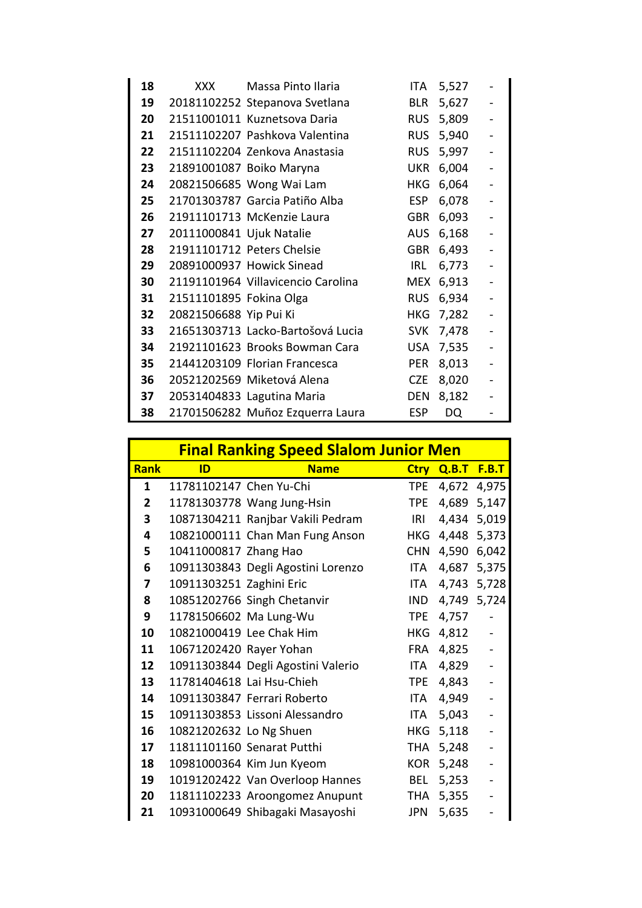| 18 | XXX .                    | Massa Pinto Ilaria                 | ITA        | 5,527 |                          |
|----|--------------------------|------------------------------------|------------|-------|--------------------------|
| 19 |                          | 20181102252 Stepanova Svetlana     | <b>BLR</b> | 5,627 |                          |
| 20 |                          | 21511001011 Kuznetsova Daria       | <b>RUS</b> | 5,809 |                          |
| 21 |                          | 21511102207 Pashkova Valentina     | <b>RUS</b> | 5,940 | $\blacksquare$           |
| 22 |                          | 21511102204 Zenkova Anastasia      | <b>RUS</b> | 5,997 |                          |
| 23 |                          | 21891001087 Boiko Maryna           | <b>UKR</b> | 6,004 |                          |
| 24 |                          | 20821506685 Wong Wai Lam           | <b>HKG</b> | 6,064 |                          |
| 25 |                          | 21701303787 Garcia Patiño Alba     | <b>ESP</b> | 6,078 |                          |
| 26 |                          | 21911101713 McKenzie Laura         | <b>GBR</b> | 6,093 | $\overline{\phantom{a}}$ |
| 27 | 20111000841 Ujuk Natalie |                                    | <b>AUS</b> | 6,168 |                          |
| 28 |                          | 21911101712 Peters Chelsie         | <b>GBR</b> | 6,493 |                          |
| 29 |                          | 20891000937 Howick Sinead          | IRL        | 6,773 |                          |
| 30 |                          | 21191101964 Villavicencio Carolina | <b>MEX</b> | 6,913 |                          |
| 31 | 21511101895 Fokina Olga  |                                    | <b>RUS</b> | 6,934 | ÷,                       |
| 32 | 20821506688 Yip Pui Ki   |                                    | <b>HKG</b> | 7,282 |                          |
| 33 |                          | 21651303713 Lacko-Bartošová Lucia  | <b>SVK</b> | 7,478 |                          |
| 34 |                          | 21921101623 Brooks Bowman Cara     | <b>USA</b> | 7,535 |                          |
| 35 |                          | 21441203109 Florian Francesca      | <b>PER</b> | 8,013 |                          |
| 36 |                          | 20521202569 Miketová Alena         | <b>CZE</b> | 8,020 | $\blacksquare$           |
| 37 |                          | 20531404833 Lagutina Maria         | <b>DEN</b> | 8,182 |                          |
| 38 |                          | 21701506282 Muñoz Ezquerra Laura   | <b>ESP</b> | DQ    |                          |

| <b>Final Ranking Speed Slalom Junior Men</b> |                          |                                    |            |       |                          |
|----------------------------------------------|--------------------------|------------------------------------|------------|-------|--------------------------|
| <b>Rank</b>                                  | ID                       | <b>Name</b>                        | Ctry       | Q.B.T | <b>F.B.T</b>             |
| 1                                            | 11781102147 Chen Yu-Chi  |                                    | <b>TPE</b> | 4,672 | 4,975                    |
| $\mathbf{2}$                                 |                          | 11781303778 Wang Jung-Hsin         | <b>TPE</b> | 4,689 | 5,147                    |
| 3                                            |                          | 10871304211 Ranjbar Vakili Pedram  | IRI        | 4,434 | 5,019                    |
| 4                                            |                          | 10821000111 Chan Man Fung Anson    | <b>HKG</b> | 4,448 | 5,373                    |
| 5                                            | 10411000817 Zhang Hao    |                                    | <b>CHN</b> | 4,590 | 6,042                    |
| 6                                            |                          | 10911303843 Degli Agostini Lorenzo | ITA        | 4,687 | 5,375                    |
| 7                                            | 10911303251 Zaghini Eric |                                    | ITA        | 4,743 | 5,728                    |
| 8                                            |                          | 10851202766 Singh Chetanvir        | <b>IND</b> | 4,749 | 5,724                    |
| 9                                            | 11781506602 Ma Lung-Wu   |                                    | <b>TPE</b> | 4,757 |                          |
| 10                                           |                          | 10821000419 Lee Chak Him           | <b>HKG</b> | 4,812 | $\blacksquare$           |
| 11                                           | 10671202420 Rayer Yohan  |                                    | <b>FRA</b> | 4,825 |                          |
| 12                                           |                          | 10911303844 Degli Agostini Valerio | ITA        | 4,829 | $\blacksquare$           |
| 13                                           |                          | 11781404618 Lai Hsu-Chieh          | <b>TPE</b> | 4,843 |                          |
| 14                                           |                          | 10911303847 Ferrari Roberto        | ITA.       | 4,949 |                          |
| 15                                           |                          | 10911303853 Lissoni Alessandro     | <b>ITA</b> | 5,043 | ÷,                       |
| 16                                           | 10821202632 Lo Ng Shuen  |                                    | <b>HKG</b> | 5,118 |                          |
| 17                                           |                          | 11811101160 Senarat Putthi         | THA        | 5,248 | $\blacksquare$           |
| 18                                           |                          | 10981000364 Kim Jun Kyeom          | <b>KOR</b> | 5,248 | ÷,                       |
| 19                                           |                          | 10191202422 Van Overloop Hannes    | <b>BEL</b> | 5,253 | $\overline{\phantom{0}}$ |
| 20                                           |                          | 11811102233 Aroongomez Anupunt     | THA        | 5,355 | $\blacksquare$           |
| 21                                           |                          | 10931000649 Shibagaki Masayoshi    | JPN        | 5,635 |                          |